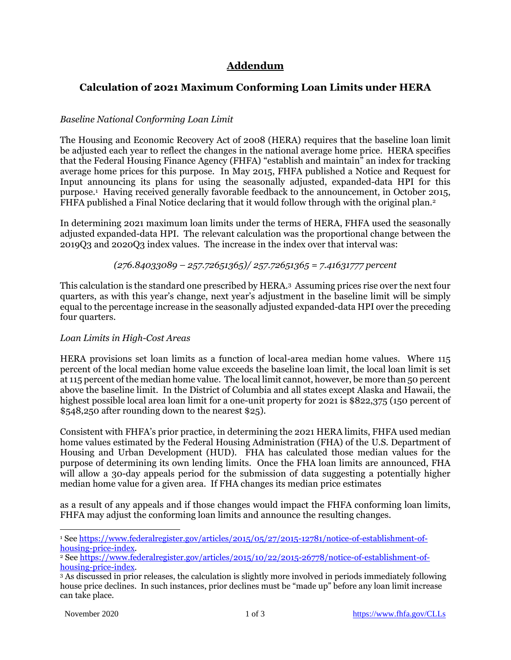# **Addendum**

## **Calculation of 2021 Maximum Conforming Loan Limits under HERA**

## *Baseline National Conforming Loan Limit*

The Housing and Economic Recovery Act of 2008 (HERA) requires that the baseline loan limit be adjusted each year to reflect the changes in the national average home price. HERA specifies that the Federal Housing Finance Agency (FHFA) "establish and maintain" an index for tracking average home prices for this purpose. In May 2015, FHFA published a Notice and Request for Input announcing its plans for using the seasonally adjusted, expanded-data HPI for this purpose.<sup>1</sup> Having received generally favorable feedback to the announcement, in October 2015, FHFA published a Final Notice declaring that it would follow through with the original plan.<sup>2</sup>

In determining 2021 maximum loan limits under the terms of HERA, FHFA used the seasonally adjusted expanded-data HPI. The relevant calculation was the proportional change between the 2019Q3 and 2020Q3 index values. The increase in the index over that interval was:

*(276.84033089 – 257.72651365)/ 257.72651365 = 7.41631777 percent*

This calculation is the standard one prescribed by HERA.<sup>3</sup> Assuming prices rise over the next four quarters, as with this year's change, next year's adjustment in the baseline limit will be simply equal to the percentage increase in the seasonally adjusted expanded-data HPI over the preceding four quarters.

### *Loan Limits in High-Cost Areas*

HERA provisions set loan limits as a function of local-area median home values. Where 115 percent of the local median home value exceeds the baseline loan limit, the local loan limit is set at 115 percent of the median home value. The local limit cannot, however, be more than 50 percent above the baseline limit. In the District of Columbia and all states except Alaska and Hawaii, the highest possible local area loan limit for a one-unit property for 2021 is \$822,375 (150 percent of \$548,250 after rounding down to the nearest \$25).

Consistent with FHFA's prior practice, in determining the 2021 HERA limits, FHFA used median home values estimated by the Federal Housing Administration (FHA) of the U.S. Department of Housing and Urban Development (HUD). FHA has calculated those median values for the purpose of determining its own lending limits. Once the FHA loan limits are announced, FHA will allow a 30-day appeals period for the submission of data suggesting a potentially higher median home value for a given area. If FHA changes its median price estimates

as a result of any appeals and if those changes would impact the FHFA conforming loan limits, FHFA may adjust the conforming loan limits and announce the resulting changes.

<sup>1</sup> See [https://www.federalregister.gov/articles/2015/05/27/2015-12781/notice-of-establishment-of](https://www.federalregister.gov/articles/2015/05/27/2015-12781/notice-of-establishment-of-housing-price-index)[housing-price-index.](https://www.federalregister.gov/articles/2015/05/27/2015-12781/notice-of-establishment-of-housing-price-index)

<sup>2</sup> Se[e https://www.federalregister.gov/articles/2015/10/22/2015-26778/notice-of-establishment-of](https://www.federalregister.gov/articles/2015/10/22/2015-26778/notice-of-establishment-of-housing-price-index)[housing-price-index.](https://www.federalregister.gov/articles/2015/10/22/2015-26778/notice-of-establishment-of-housing-price-index)

<sup>3</sup> As discussed in prior releases, the calculation is slightly more involved in periods immediately following house price declines. In such instances, prior declines must be "made up" before any loan limit increase can take place.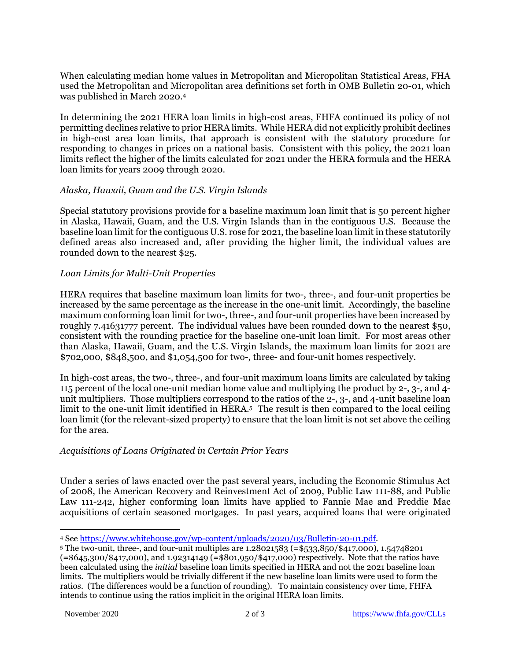When calculating median home values in Metropolitan and Micropolitan Statistical Areas, FHA used the Metropolitan and Micropolitan area definitions set forth in OMB Bulletin 20-01, which was published in March 2020. 4

In determining the 2021 HERA loan limits in high-cost areas, FHFA continued its policy of not permitting declines relative to prior HERA limits. While HERA did not explicitly prohibit declines in high-cost area loan limits, that approach is consistent with the statutory procedure for responding to changes in prices on a national basis. Consistent with this policy, the 2021 loan limits reflect the higher of the limits calculated for 2021 under the HERA formula and the HERA loan limits for years 2009 through 2020.

#### *Alaska, Hawaii, Guam and the U.S. Virgin Islands*

Special statutory provisions provide for a baseline maximum loan limit that is 50 percent higher in Alaska, Hawaii, Guam, and the U.S. Virgin Islands than in the contiguous U.S. Because the baseline loan limit for the contiguous U.S. rose for 2021, the baseline loan limit in these statutorily defined areas also increased and, after providing the higher limit, the individual values are rounded down to the nearest \$25.

#### *Loan Limits for Multi-Unit Properties*

HERA requires that baseline maximum loan limits for two-, three-, and four-unit properties be increased by the same percentage as the increase in the one-unit limit. Accordingly, the baseline maximum conforming loan limit for two-, three-, and four-unit properties have been increased by roughly 7.41631777 percent. The individual values have been rounded down to the nearest \$50, consistent with the rounding practice for the baseline one-unit loan limit. For most areas other than Alaska, Hawaii, Guam, and the U.S. Virgin Islands, the maximum loan limits for 2021 are \$702,000, \$848,500, and \$1,054,500 for two-, three- and four-unit homes respectively.

In high-cost areas, the two-, three-, and four-unit maximum loans limits are calculated by taking 115 percent of the local one-unit median home value and multiplying the product by 2-, 3-, and 4 unit multipliers. Those multipliers correspond to the ratios of the 2-, 3-, and 4-unit baseline loan limit to the one-unit limit identified in HERA.<sup>5</sup> The result is then compared to the local ceiling loan limit (for the relevant-sized property) to ensure that the loan limit is not set above the ceiling for the area.

### *Acquisitions of Loans Originated in Certain Prior Years*

Under a series of laws enacted over the past several years, including the Economic Stimulus Act of 2008, the American Recovery and Reinvestment Act of 2009, Public Law 111-88, and Public Law 111-242, higher conforming loan limits have applied to Fannie Mae and Freddie Mac acquisitions of certain seasoned mortgages. In past years, acquired loans that were originated

<sup>4</sup> See [https://www.whitehouse.gov/wp-content/uploads/2020/03/Bulletin-20-01.pdf.](https://www.whitehouse.gov/wp-content/uploads/2020/03/Bulletin-20-01.pdf)

<sup>5</sup> The two-unit, three-, and four-unit multiples are 1.28021583 (=\$533,850/\$417,000), 1.54748201 (=\$645,300/\$417,000), and 1.92314149 (=\$801,950/\$417,000) respectively. Note that the ratios have been calculated using the *initial* baseline loan limits specified in HERA and not the 2021 baseline loan limits. The multipliers would be trivially different if the new baseline loan limits were used to form the ratios. (The differences would be a function of rounding). To maintain consistency over time, FHFA intends to continue using the ratios implicit in the original HERA loan limits.